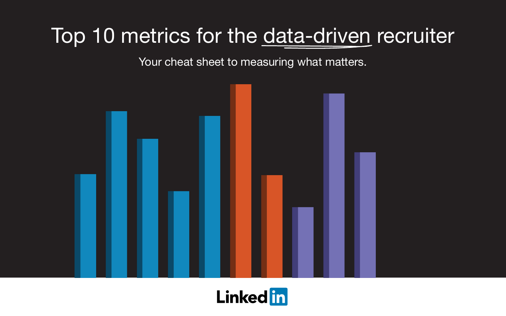# Top 10 metrics for the data-driven recruiter

Your cheat sheet to measuring what matters.



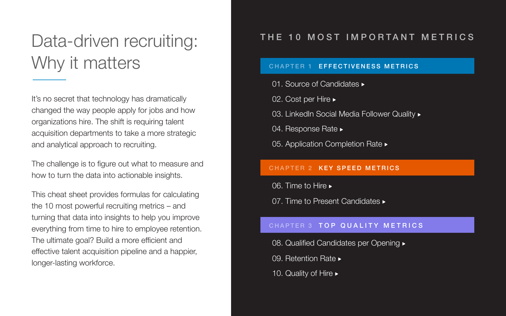## Data-driven recruiting: Why it matters

It's no secret that technology has dramatically changed the way people apply for jobs and how organizations hire. The shift is requiring talent acquisition departments to take a more strategic and analytical approach to recruiting.

The challenge is to figure out what to measure and how to turn the data into actionable insights.

This cheat sheet provides formulas for calculating the 10 most powerful recruiting metrics – and turning that data into insights to help you improve everything from time to hire to employee retention. The ultimate goal? Build a more efficient and effective talent acquisition pipeline and a happier, longer-lasting workforce.

### CHAPTER 1 EFFECTIVENESS METRICS

01. Source of Candidates  $\blacktriangleright$ 

02. Cost per Hire ►

03. LinkedIn Social Media Follower Quality  $\blacktriangleright$ 

04. Response Rate  $\blacktriangleright$ 

05. Application Completion Rate  $\blacktriangleright$ 

### CHAPTER 2 KEY SPEED METRICS

06. Time to Hire  $\blacktriangleright$ 

07. Time to Present Candidates  $\blacktriangleright$ 

### CHAPTER 3 TOP QUALITY METRICS

08. Qualified Candidates per Opening  $\blacktriangleright$ 

09. Retention Rate  $\blacktriangleright$ 

10. Quality of Hire  $\blacktriangleright$ 



### THE 10 MOST IMPORTANT METRICS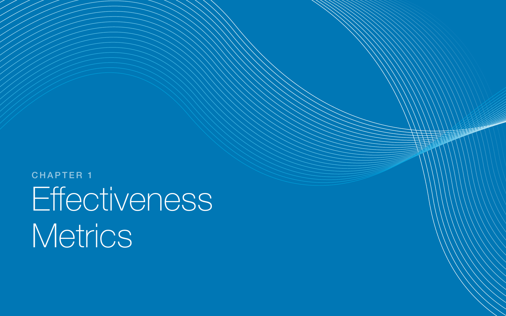# Effectiveness Metrics CHAPTER 1

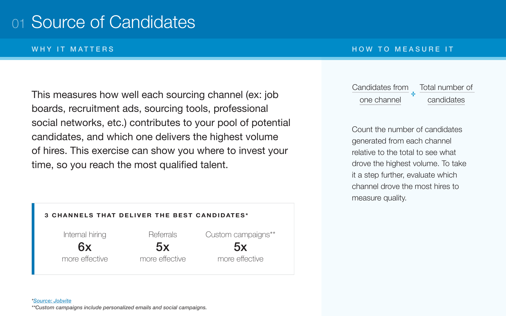## 01 Source of Candidates

### WHY IT MATTERS THE RESERVE THROUGH THE MEASURE IT

This measures how well each sourcing channel (ex: job boards, recruitment ads, sourcing tools, professional social networks, etc.) contributes to your pool of potential candidates, and which one delivers the highest volume of hires. This exercise can show you where to invest your time, so you reach the most qualified talent.



### *[\\*Source: Jobvite](https://www.jobvite.com/wp-content/uploads/2017/05/Jobvite_2017_Recruiting_Funnel_Benchmark_Report.pdf) \*\*Custom campaigns include personalized emails and social campaigns.*

Count the number of candidates generated from each channel relative to the total to see what drove the highest volume. To take it a step further, evaluate which channel drove the most hires to measure quality.

Candidates from one channel

### Total number of candidates **÷**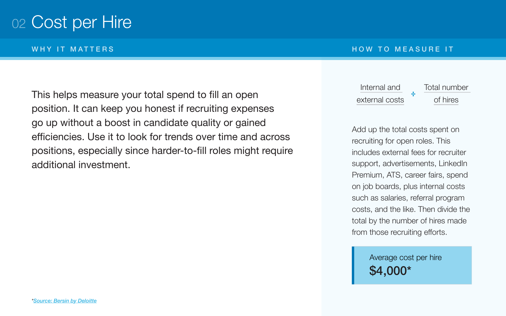## 02 Cost per Hire

WHY IT MATTERS THE RESERVE THROUGH THE MEASURE IT

This helps measure your total spend to fill an open position. It can keep you honest if recruiting expenses go up without a boost in candidate quality or gained efficiencies. Use it to look for trends over time and across positions, especially since harder-to-fill roles might require additional investment.

Add up the total costs spent on recruiting for open roles. This includes external fees for recruiter support, advertisements, LinkedIn Premium, ATS, career fairs, spend on job boards, plus internal costs such as salaries, referral program costs, and the like. Then divide the total by the number of hires made from those recruiting efforts.

Internal and external costs

### Total number of hires **÷**

\$4,000\*

# Average cost per hire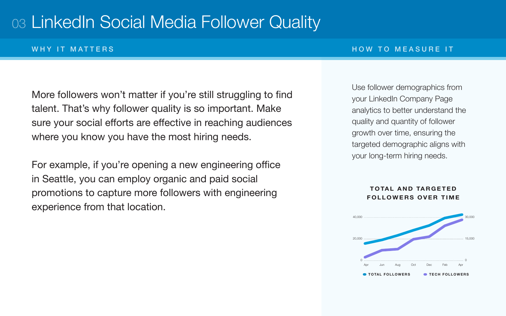## 03 LinkedIn Social Media Follower Quality

### WHY IT MATTERS THE RESERVE THROUGH THE MEASURE IT

More followers won't matter if you're still struggling to find talent. That's why follower quality is so important. Make sure your social efforts are effective in reaching audiences where you know you have the most hiring needs.

For example, if you're opening a new engineering office in Seattle, you can employ organic and paid social promotions to capture more followers with engineering experience from that location.

### **TOTAL AND TARGETED FOLLOWERS OVER TIME**

Use follower demographics from your LinkedIn Company Page analytics to better understand the quality and quantity of follower growth over time, ensuring the targeted demographic aligns with your long-term hiring needs.

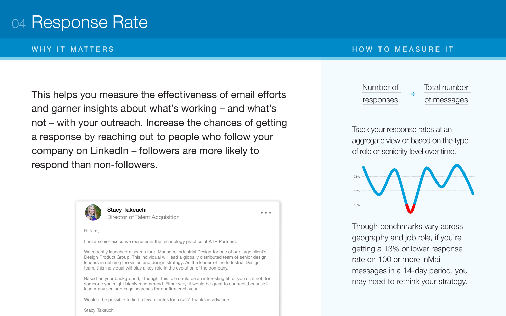## 04 Response Rate

This helps you measure the effectiveness of email efforts and garner insights about what's working – and what's not – with your outreach. Increase the chances of getting a response by reaching out to people who follow your company on LinkedIn – followers are more likely to respond than non-followers.



Stacy Takeuchi Director of Talent Acquisition

Hi Kim,

I am a senior executive recruiter in the technology practice at KTR Partners.

We recently launched a search for a Manager, Industrial Design for one of our large client's Design Product Group. This individual will lead a globally distributed team of senior design leaders in defining the vision and design strategy. As the leader of the Industrial Design team, this individual will play a key role in the evolution of the company.

 $\bullet\bullet\bullet$ 

Based on your background, I thought this role could be an interesting fit for you or, if not, for someone you might highly recommend. Either way, it would be great to connect, because I lead many senior design searches for our firm each year.

Would it be possible to find a few minutes for a call? Thanks in advance.

Stacy Takeuchi

### WHY IT MATTERS THE RESERVE THROUGH THE MEASURE IT

Track your response rates at an aggregate view or based on the type of role or seniority level over time.

Though benchmarks vary across geography and job role, if you're getting a 13% or lower response rate on 100 or more InMail messages in a 14-day period, you may need to rethink your strategy.

Number of



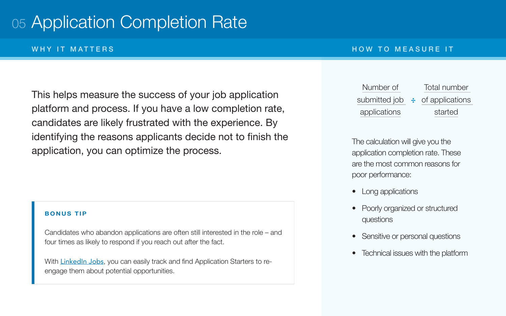## 05 Application Completion Rate

This helps measure the success of your job application platform and process. If you have a low completion rate, candidates are likely frustrated with the experience. By identifying the reasons applicants decide not to finish the application, you can optimize the process.

- Long applications
- questions
- 
- 

### WHY IT MATTERS THE RESERVE THROUGH THE RESIDENCE IT AN INCOLLECT THE RESIDENCE IT

The calculation will give you the application completion rate. These are the most common reasons for poor performance:

With [LinkedIn Jobs](https://business.linkedin.com/talent-solutions/post-jobs), you can easily track and find Application Starters to reengage them about potential opportunities.

### Number of submitted j application

• Technical issues with the platform

| λf | <b>Total number</b>    |
|----|------------------------|
| ob | $\div$ of applications |
| າຣ | started                |

• Poorly organized or structured

Sensitive or personal questions

### **BONUS TIP**

Candidates who abandon applications are often still interested in the role – and four times as likely to respond if you reach out after the fact.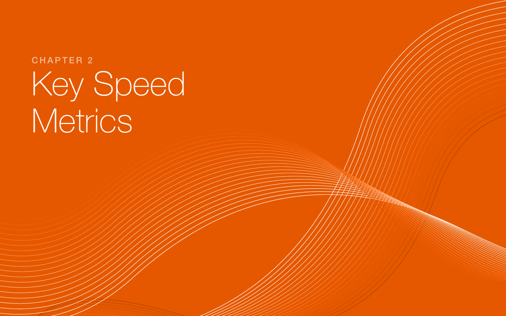# Key Speed Metrics CHAPTER 2

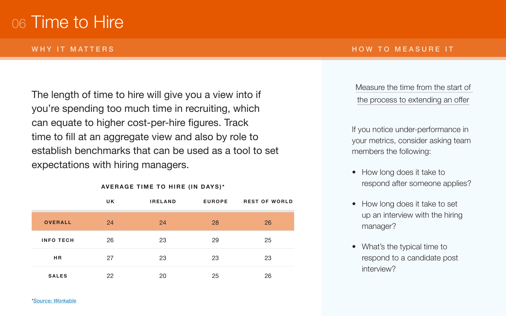## 06 Time to Hire

### WHY IT MATTERS THE RESIDENCE IT AND TO MEASURE IT

The length of time to hire will give you a view into if you're spending too much time in recruiting, which can equate to higher cost-per-hire figures. Track time to fill at an aggregate view and also by role to establish benchmarks that can be used as a tool to set expectations with hiring managers.

> • How long does it take to set up an interview with the hiring

• What's the typical time to respond to a candidate post

Measure the time from the start of the process to extending an offer

If you notice under-performance in your metrics, consider asking team members the following:

• How long does it take to respond after someone applies?

- 
- manager?
- interview?

|                  | <b>UK</b> | <b>IRELAND</b> | <b>EUROPE</b> | <b>REST OF WORLD</b> |
|------------------|-----------|----------------|---------------|----------------------|
| <b>OVERALL</b>   | 24        | 24             | 28            | 26                   |
| <b>INFO TECH</b> | 26        | 23             | 29            | 25                   |
| HR               | 27        | 23             | 23            | 23                   |
| <b>SALES</b>     | 22        | 20             | 25            | 26                   |

**AVERAGE TIME TO HIRE (IN DAYS)\***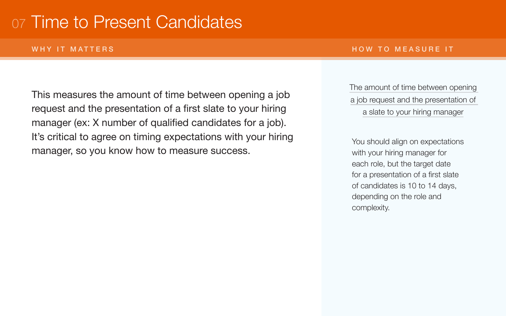## 07 Time to Present Candidates

### WHY IT MATTERS THE RESIDENCE IT AND TO MEASURE IT

This measures the amount of time between opening a job request and the presentation of a first slate to your hiring manager (ex: X number of qualified candidates for a job). It's critical to agree on timing expectations with your hiring manager, so you know how to measure success.

### The amount of time between opening a job request and the presentation of a slate to your hiring manager

You should align on expectations with your hiring manager for each role, but the target date for a presentation of a first slate of candidates is 10 to 14 days, depending on the role and complexity.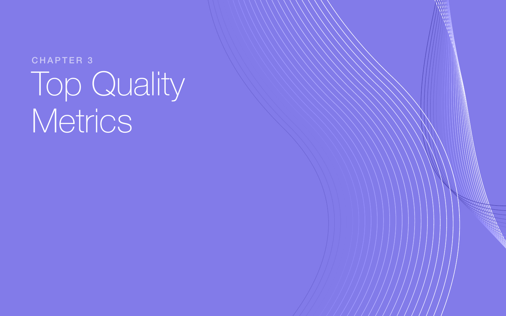# Top Quality Metrics CHAPTER 3

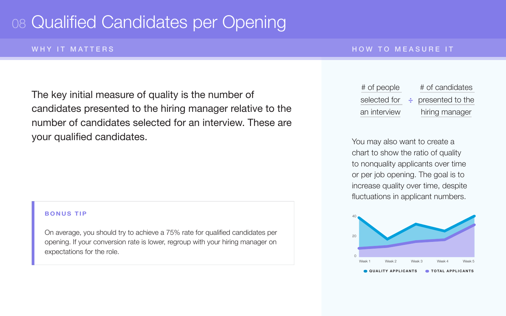## 08 Qualified Candidates per Opening

### WHY IT MATTERS THE RESERVE THROUGH THE RESIDENCE IT AN INCORPORATION OF THE MEASURE IT

The key initial measure of quality is the number of candidates presented to the hiring manager relative to the number of candidates selected for an interview. These are your qualified candidates. The same of the set of the set of the set of the set of the you may also want to create a

chart to show the ratio of quality to nonquality applicants over time or per job opening. The goal is to increase quality over time, despite fluctuations in applicant numbers.

| е  | # of candidates         |
|----|-------------------------|
| Cr | $\div$ presented to the |
| W  | hiring manager          |



### **BONUS TIP**

On average, you should try to achieve a 75% rate for qualified candidates per opening. If your conversion rate is lower, regroup with your hiring manager on expectations for the role.

 $#$  of peopl selected for an interview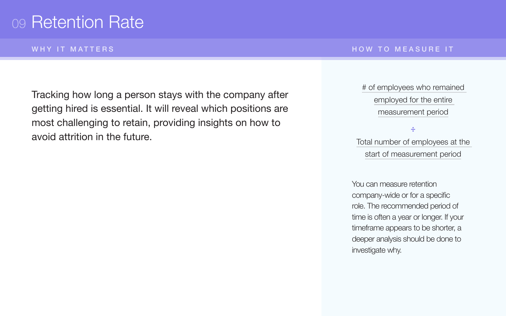## 09 Retention Rate

WHY IT MATTERS THE RESERVE THROUGH THE RESIDENCE IT AN INCOLLECT THE RESIDENCE IT

Tracking how long a person stays with the company after getting hired is essential. It will reveal which positions are most challenging to retain, providing insights on how to avoid attrition in the future.

You can measure retention company-wide or for a specific role. The recommended period of time is often a year or longer. If your timeframe appears to be shorter, a deeper analysis should be done to investigate why.

# of employees who remained employed for the entire measurement period

Total number of employees at the start of measurement period

**÷**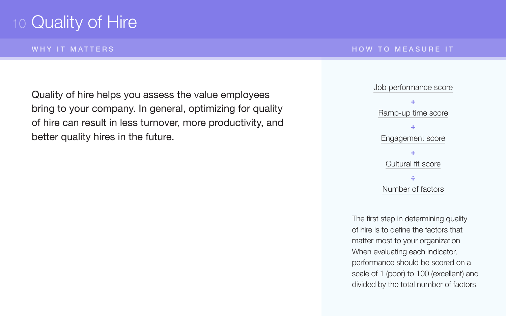## 10 Quality of Hire

WHY IT MATTERS THE RESERVE THROUGH THE RESIDENCE IT AN INCOLLECT THE RESIDENCE IT

Quality of hire helps you assess the value employees bring to your company. In general, optimizing for quality of hire can result in less turnover, more productivity, and better quality hires in the future.

The first step in determining quality of hire is to define the factors that matter most to your organization When evaluating each indicator, performance should be scored on a scale of 1 (poor) to 100 (excellent) and divided by the total number of factors.

Job performance score Ramp-up time score Engagement score Cultural fit score **+ + + ÷** Number of factors